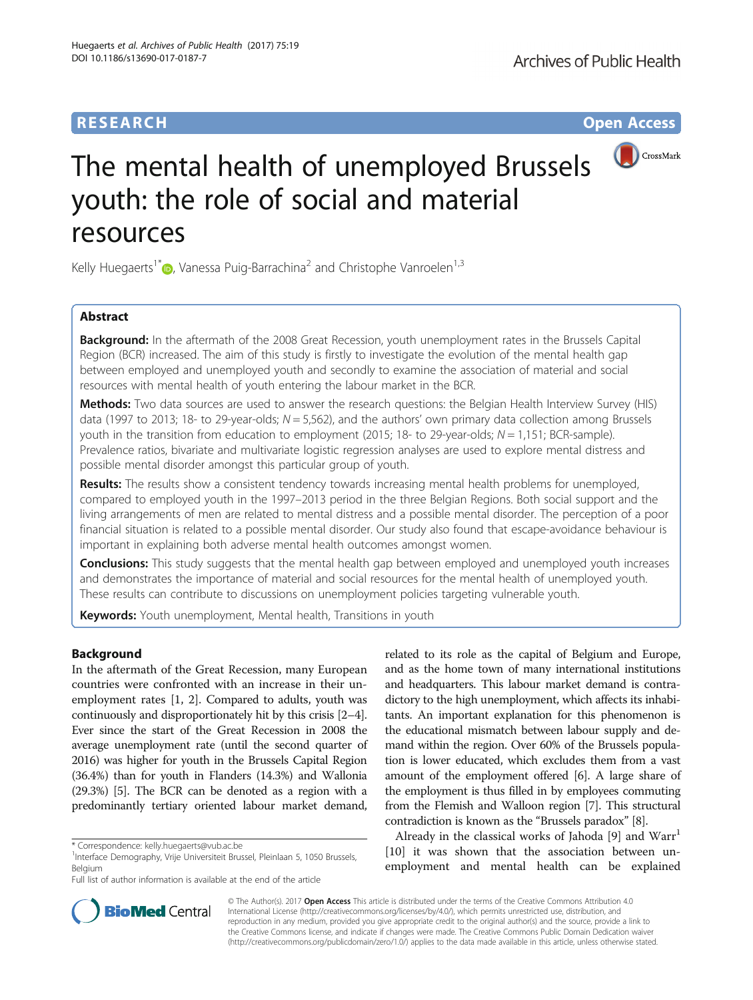## **RESEARCH CHINESE ARCH CHINESE ARCH CHINESE ARCH <b>CHINESE ARCH CHINESE ARCH CHINESE ARCH <b>CHINESE** ARCH **CHINESE ARCH** CHINESE ARCH **CHINESE ARCH** CHINESE ARCH **CHINESE ARCH 2014**



# The mental health of unemployed Brussels youth: the role of social and material resources

Kelly Huegaerts<sup>1\*</sup><sup>D</sup>[,](http://orcid.org/0000-0003-4664-3696) Vanessa Puig-Barrachina<sup>2</sup> and Christophe Vanroelen<sup>1,3</sup>

## Abstract

Background: In the aftermath of the 2008 Great Recession, youth unemployment rates in the Brussels Capital Region (BCR) increased. The aim of this study is firstly to investigate the evolution of the mental health gap between employed and unemployed youth and secondly to examine the association of material and social resources with mental health of youth entering the labour market in the BCR.

Methods: Two data sources are used to answer the research questions: the Belgian Health Interview Survey (HIS) data (1997 to 2013; 18- to 29-year-olds;  $N = 5,562$ ), and the authors' own primary data collection among Brussels youth in the transition from education to employment (2015; 18- to 29-year-olds;  $N = 1,151$ ; BCR-sample). Prevalence ratios, bivariate and multivariate logistic regression analyses are used to explore mental distress and possible mental disorder amongst this particular group of youth.

Results: The results show a consistent tendency towards increasing mental health problems for unemployed, compared to employed youth in the 1997–2013 period in the three Belgian Regions. Both social support and the living arrangements of men are related to mental distress and a possible mental disorder. The perception of a poor financial situation is related to a possible mental disorder. Our study also found that escape-avoidance behaviour is important in explaining both adverse mental health outcomes amongst women.

**Conclusions:** This study suggests that the mental health gap between employed and unemployed youth increases and demonstrates the importance of material and social resources for the mental health of unemployed youth. These results can contribute to discussions on unemployment policies targeting vulnerable youth.

**Keywords:** Youth unemployment, Mental health, Transitions in youth

## Background

In the aftermath of the Great Recession, many European countries were confronted with an increase in their unemployment rates [\[1](#page-9-0), [2](#page-9-0)]. Compared to adults, youth was continuously and disproportionately hit by this crisis [\[2](#page-9-0)–[4](#page-9-0)]. Ever since the start of the Great Recession in 2008 the average unemployment rate (until the second quarter of 2016) was higher for youth in the Brussels Capital Region (36.4%) than for youth in Flanders (14.3%) and Wallonia (29.3%) [[5\]](#page-9-0). The BCR can be denoted as a region with a predominantly tertiary oriented labour market demand,

related to its role as the capital of Belgium and Europe, and as the home town of many international institutions and headquarters. This labour market demand is contradictory to the high unemployment, which affects its inhabitants. An important explanation for this phenomenon is the educational mismatch between labour supply and demand within the region. Over 60% of the Brussels population is lower educated, which excludes them from a vast amount of the employment offered [\[6\]](#page-9-0). A large share of the employment is thus filled in by employees commuting from the Flemish and Walloon region [\[7\]](#page-9-0). This structural contradiction is known as the "Brussels paradox" [\[8\]](#page-9-0).

Already in the classical works of Jahoda [[9\]](#page-9-0) and  $Warr<sup>1</sup>$ [[10\]](#page-9-0) it was shown that the association between unemployment and mental health can be explained



© The Author(s). 2017 **Open Access** This article is distributed under the terms of the Creative Commons Attribution 4.0 International License [\(http://creativecommons.org/licenses/by/4.0/](http://creativecommons.org/licenses/by/4.0/)), which permits unrestricted use, distribution, and reproduction in any medium, provided you give appropriate credit to the original author(s) and the source, provide a link to the Creative Commons license, and indicate if changes were made. The Creative Commons Public Domain Dedication waiver [\(http://creativecommons.org/publicdomain/zero/1.0/](http://creativecommons.org/publicdomain/zero/1.0/)) applies to the data made available in this article, unless otherwise stated.

<sup>\*</sup> Correspondence: [kelly.huegaerts@vub.ac.be](mailto:kelly.huegaerts@vub.ac.be) <sup>1</sup>

<sup>&</sup>lt;sup>1</sup>Interface Demography, Vrije Universiteit Brussel, Pleinlaan 5, 1050 Brussels, Belgium

Full list of author information is available at the end of the article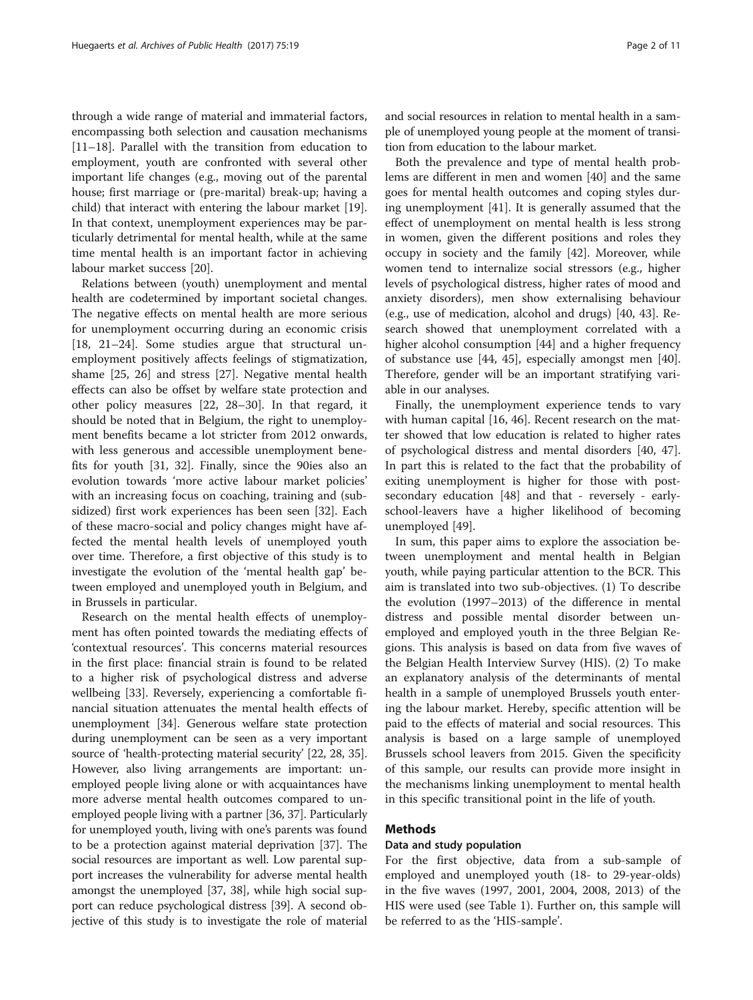through a wide range of material and immaterial factors, encompassing both selection and causation mechanisms [[11](#page-9-0)–[18](#page-9-0)]. Parallel with the transition from education to employment, youth are confronted with several other important life changes (e.g., moving out of the parental house; first marriage or (pre-marital) break-up; having a child) that interact with entering the labour market [\[19](#page-9-0)]. In that context, unemployment experiences may be particularly detrimental for mental health, while at the same time mental health is an important factor in achieving labour market success [[20](#page-9-0)].

Relations between (youth) unemployment and mental health are codetermined by important societal changes. The negative effects on mental health are more serious for unemployment occurring during an economic crisis [[18, 21](#page-9-0)–[24\]](#page-9-0). Some studies argue that structural unemployment positively affects feelings of stigmatization, shame [\[25](#page-9-0), [26](#page-9-0)] and stress [\[27](#page-9-0)]. Negative mental health effects can also be offset by welfare state protection and other policy measures [[22, 28](#page-9-0)–[30\]](#page-9-0). In that regard, it should be noted that in Belgium, the right to unemployment benefits became a lot stricter from 2012 onwards, with less generous and accessible unemployment benefits for youth [\[31](#page-9-0), [32\]](#page-9-0). Finally, since the 90ies also an evolution towards 'more active labour market policies' with an increasing focus on coaching, training and (subsidized) first work experiences has been seen [[32\]](#page-9-0). Each of these macro-social and policy changes might have affected the mental health levels of unemployed youth over time. Therefore, a first objective of this study is to investigate the evolution of the 'mental health gap' between employed and unemployed youth in Belgium, and in Brussels in particular.

Research on the mental health effects of unemployment has often pointed towards the mediating effects of 'contextual resources'. This concerns material resources in the first place: financial strain is found to be related to a higher risk of psychological distress and adverse wellbeing [\[33\]](#page-9-0). Reversely, experiencing a comfortable financial situation attenuates the mental health effects of unemployment [\[34\]](#page-9-0). Generous welfare state protection during unemployment can be seen as a very important source of 'health-protecting material security' [\[22, 28, 35](#page-9-0)]. However, also living arrangements are important: unemployed people living alone or with acquaintances have more adverse mental health outcomes compared to unemployed people living with a partner [\[36, 37](#page-9-0)]. Particularly for unemployed youth, living with one's parents was found to be a protection against material deprivation [[37\]](#page-9-0). The social resources are important as well. Low parental support increases the vulnerability for adverse mental health amongst the unemployed [[37,](#page-9-0) [38\]](#page-10-0), while high social support can reduce psychological distress [\[39\]](#page-10-0). A second objective of this study is to investigate the role of material

and social resources in relation to mental health in a sample of unemployed young people at the moment of transition from education to the labour market.

Both the prevalence and type of mental health problems are different in men and women [\[40](#page-10-0)] and the same goes for mental health outcomes and coping styles during unemployment [\[41](#page-10-0)]. It is generally assumed that the effect of unemployment on mental health is less strong in women, given the different positions and roles they occupy in society and the family [[42](#page-10-0)]. Moreover, while women tend to internalize social stressors (e.g., higher levels of psychological distress, higher rates of mood and anxiety disorders), men show externalising behaviour (e.g., use of medication, alcohol and drugs) [\[40](#page-10-0), [43\]](#page-10-0). Research showed that unemployment correlated with a higher alcohol consumption [[44\]](#page-10-0) and a higher frequency of substance use [\[44](#page-10-0), [45](#page-10-0)], especially amongst men [\[40](#page-10-0)]. Therefore, gender will be an important stratifying variable in our analyses.

Finally, the unemployment experience tends to vary with human capital [[16,](#page-9-0) [46](#page-10-0)]. Recent research on the matter showed that low education is related to higher rates of psychological distress and mental disorders [\[40, 47](#page-10-0)]. In part this is related to the fact that the probability of exiting unemployment is higher for those with postsecondary education [[48\]](#page-10-0) and that - reversely - earlyschool-leavers have a higher likelihood of becoming unemployed [\[49\]](#page-10-0).

In sum, this paper aims to explore the association between unemployment and mental health in Belgian youth, while paying particular attention to the BCR. This aim is translated into two sub-objectives. (1) To describe the evolution (1997–2013) of the difference in mental distress and possible mental disorder between unemployed and employed youth in the three Belgian Regions. This analysis is based on data from five waves of the Belgian Health Interview Survey (HIS). (2) To make an explanatory analysis of the determinants of mental health in a sample of unemployed Brussels youth entering the labour market. Hereby, specific attention will be paid to the effects of material and social resources. This analysis is based on a large sample of unemployed Brussels school leavers from 2015. Given the specificity of this sample, our results can provide more insight in the mechanisms linking unemployment to mental health in this specific transitional point in the life of youth.

## Methods

## Data and study population

For the first objective, data from a sub-sample of employed and unemployed youth (18- to 29-year-olds) in the five waves (1997, 2001, 2004, 2008, 2013) of the HIS were used (see Table [1](#page-2-0)). Further on, this sample will be referred to as the 'HIS-sample'.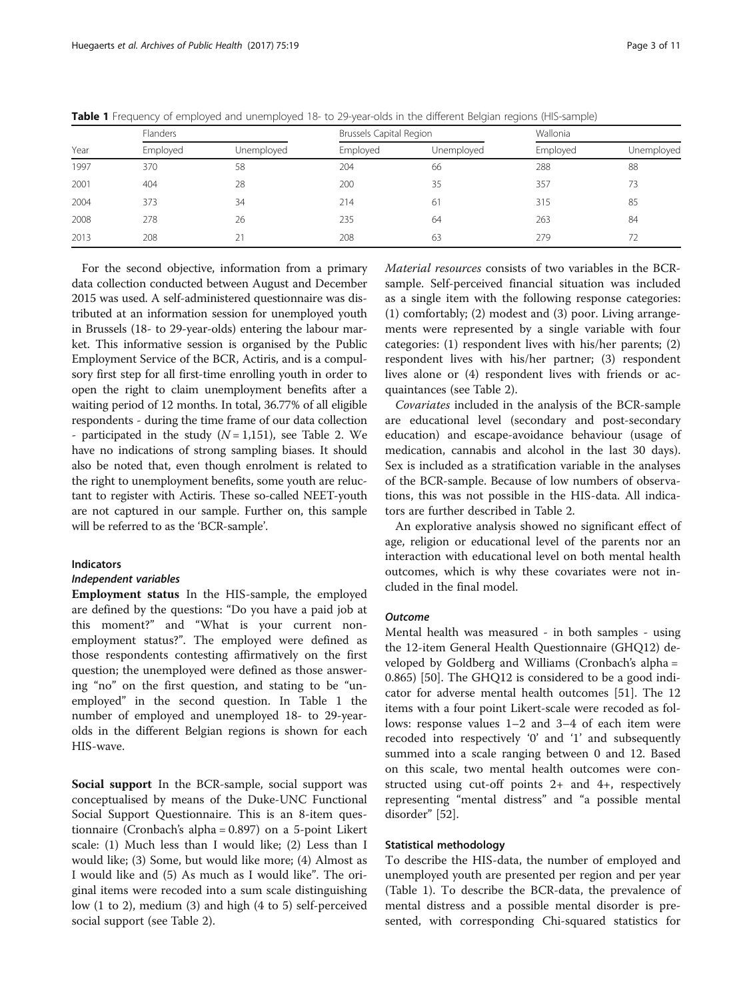| Flanders |            |          |            | Wallonia                |            |
|----------|------------|----------|------------|-------------------------|------------|
| Employed | Unemployed | Employed | Unemployed | Employed                | Unemployed |
| 370      | 58         | 204      | 66         | 288                     | 88         |
| 404      | 28         | 200      | 35         | 357                     | 73         |
| 373      | 34         | 214      | 61         | 315                     | 85         |
| 278      | 26         | 235      | 64         | 263                     | 84         |
| 208      | 21         | 208      | 63         | 279                     | 72         |
|          |            |          |            | Brussels Capital Region |            |

<span id="page-2-0"></span>Table 1 Frequency of employed and unemployed 18- to 29-year-olds in the different Belgian regions (HIS-sample)

For the second objective, information from a primary data collection conducted between August and December 2015 was used. A self-administered questionnaire was distributed at an information session for unemployed youth in Brussels (18- to 29-year-olds) entering the labour market. This informative session is organised by the Public Employment Service of the BCR, Actiris, and is a compulsory first step for all first-time enrolling youth in order to open the right to claim unemployment benefits after a waiting period of 12 months. In total, 36.77% of all eligible respondents - during the time frame of our data collection - participated in the study  $(N = 1,151)$ , see Table [2.](#page-3-0) We have no indications of strong sampling biases. It should also be noted that, even though enrolment is related to the right to unemployment benefits, some youth are reluctant to register with Actiris. These so-called NEET-youth are not captured in our sample. Further on, this sample will be referred to as the 'BCR-sample'.

#### Indicators

#### Independent variables

Employment status In the HIS-sample, the employed are defined by the questions: "Do you have a paid job at this moment?" and "What is your current nonemployment status?". The employed were defined as those respondents contesting affirmatively on the first question; the unemployed were defined as those answering "no" on the first question, and stating to be "unemployed" in the second question. In Table 1 the number of employed and unemployed 18- to 29-yearolds in the different Belgian regions is shown for each HIS-wave.

Social support In the BCR-sample, social support was conceptualised by means of the Duke-UNC Functional Social Support Questionnaire. This is an 8-item questionnaire (Cronbach's alpha = 0.897) on a 5-point Likert scale: (1) Much less than I would like; (2) Less than I would like; (3) Some, but would like more; (4) Almost as I would like and (5) As much as I would like". The original items were recoded into a sum scale distinguishing low (1 to 2), medium (3) and high (4 to 5) self-perceived social support (see Table [2](#page-3-0)).

Material resources consists of two variables in the BCRsample. Self-perceived financial situation was included as a single item with the following response categories: (1) comfortably; (2) modest and (3) poor. Living arrangements were represented by a single variable with four categories: (1) respondent lives with his/her parents; (2) respondent lives with his/her partner; (3) respondent lives alone or (4) respondent lives with friends or acquaintances (see Table [2](#page-3-0)).

Covariates included in the analysis of the BCR-sample are educational level (secondary and post-secondary education) and escape-avoidance behaviour (usage of medication, cannabis and alcohol in the last 30 days). Sex is included as a stratification variable in the analyses of the BCR-sample. Because of low numbers of observations, this was not possible in the HIS-data. All indicators are further described in Table [2.](#page-3-0)

An explorative analysis showed no significant effect of age, religion or educational level of the parents nor an interaction with educational level on both mental health outcomes, which is why these covariates were not included in the final model.

#### **Outcome**

Mental health was measured - in both samples - using the 12-item General Health Questionnaire (GHQ12) developed by Goldberg and Williams (Cronbach's alpha = 0.865) [[50\]](#page-10-0). The GHQ12 is considered to be a good indicator for adverse mental health outcomes [[51\]](#page-10-0). The 12 items with a four point Likert-scale were recoded as follows: response values 1–2 and 3–4 of each item were recoded into respectively '0' and '1' and subsequently summed into a scale ranging between 0 and 12. Based on this scale, two mental health outcomes were constructed using cut-off points 2+ and 4+, respectively representing "mental distress" and "a possible mental disorder" [\[52\]](#page-10-0).

#### Statistical methodology

To describe the HIS-data, the number of employed and unemployed youth are presented per region and per year (Table 1). To describe the BCR-data, the prevalence of mental distress and a possible mental disorder is presented, with corresponding Chi-squared statistics for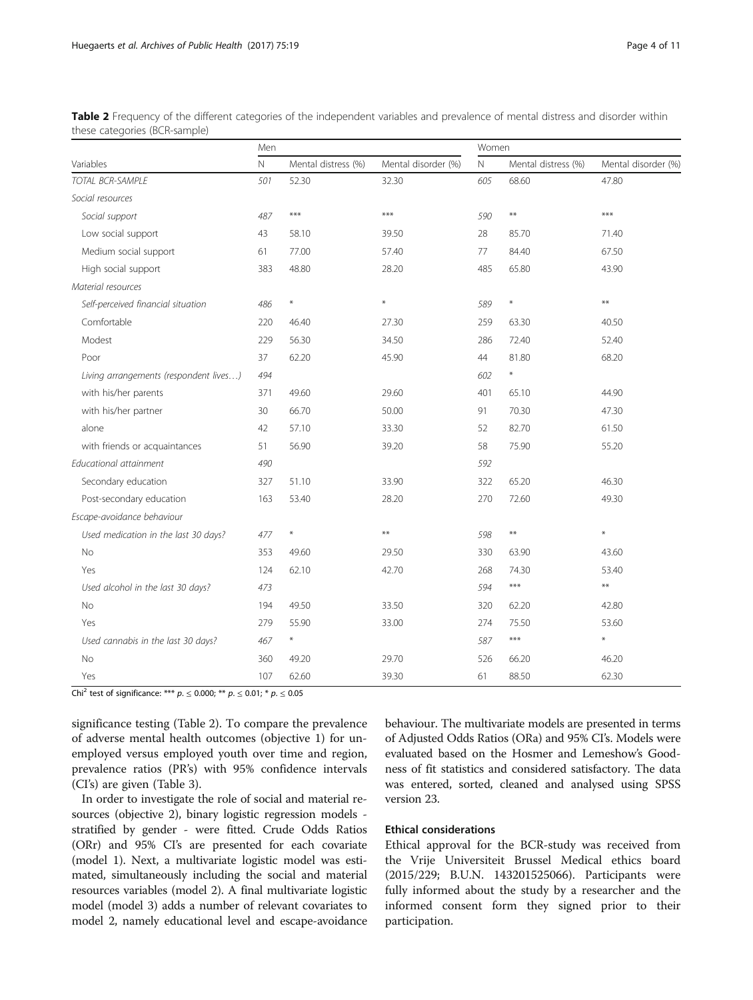|                                        | Men          |                     |                     | Women        |                     |                     |
|----------------------------------------|--------------|---------------------|---------------------|--------------|---------------------|---------------------|
| Variables                              | $\mathsf{N}$ | Mental distress (%) | Mental disorder (%) | $\mathsf{N}$ | Mental distress (%) | Mental disorder (%) |
| TOTAL BCR-SAMPLE                       | 501          | 52.30               | 32.30               | 605          | 68.60               | 47.80               |
| Social resources                       |              |                     |                     |              |                     |                     |
| Social support                         | 487          | $***$               | $***$               | 590          | $***$               | $***$               |
| Low social support                     | 43           | 58.10               | 39.50               | 28           | 85.70               | 71.40               |
| Medium social support                  | 61           | 77.00               | 57.40               | 77           | 84.40               | 67.50               |
| High social support                    | 383          | 48.80               | 28.20               | 485          | 65.80               | 43.90               |
| Material resources                     |              |                     |                     |              |                     |                     |
| Self-perceived financial situation     | 486          | $\ast$              | $\ast$              | 589          | $\ast$              | $***$               |
| Comfortable                            | 220          | 46.40               | 27.30               | 259          | 63.30               | 40.50               |
| Modest                                 | 229          | 56.30               | 34.50               | 286          | 72.40               | 52.40               |
| Poor                                   | 37           | 62.20               | 45.90               | 44           | 81.80               | 68.20               |
| Living arrangements (respondent lives) | 494          |                     |                     | 602          | $\ast$              |                     |
| with his/her parents                   | 371          | 49.60               | 29.60               | 401          | 65.10               | 44.90               |
| with his/her partner                   | 30           | 66.70               | 50.00               | 91           | 70.30               | 47.30               |
| alone                                  | 42           | 57.10               | 33.30               | 52           | 82.70               | 61.50               |
| with friends or acquaintances          | 51           | 56.90               | 39.20               | 58           | 75.90               | 55.20               |
| Educational attainment                 | 490          |                     |                     | 592          |                     |                     |
| Secondary education                    | 327          | 51.10               | 33.90               | 322          | 65.20               | 46.30               |
| Post-secondary education               | 163          | 53.40               | 28.20               | 270          | 72.60               | 49.30               |
| Escape-avoidance behaviour             |              |                     |                     |              |                     |                     |
| Used medication in the last 30 days?   | 477          | $\ast$              | $**$                | 598          | $***$               | $\ast$              |
| <b>No</b>                              | 353          | 49.60               | 29.50               | 330          | 63.90               | 43.60               |
| Yes                                    | 124          | 62.10               | 42.70               | 268          | 74.30               | 53.40               |
| Used alcohol in the last 30 days?      | 473          |                     |                     | 594          | $***$               | $***$               |
| No                                     | 194          | 49.50               | 33.50               | 320          | 62.20               | 42.80               |
| Yes                                    | 279          | 55.90               | 33.00               | 274          | 75.50               | 53.60               |
| Used cannabis in the last 30 days?     | 467          | $\ast$              |                     | 587          | $***$               | $\ast$              |
| No                                     | 360          | 49.20               | 29.70               | 526          | 66.20               | 46.20               |
| Yes                                    | 107          | 62.60               | 39.30               | 61           | 88.50               | 62.30               |

<span id="page-3-0"></span>Table 2 Frequency of the different categories of the independent variables and prevalence of mental distress and disorder within these categories (BCR-sample)

Chi<sup>2</sup> test of significance: \*\*\*  $p \le 0.000$ ; \*\*  $p \le 0.01$ ; \*  $p \le 0.05$ 

significance testing (Table 2). To compare the prevalence of adverse mental health outcomes (objective 1) for unemployed versus employed youth over time and region, prevalence ratios (PR's) with 95% confidence intervals (CI's) are given (Table [3](#page-4-0)).

In order to investigate the role of social and material resources (objective 2), binary logistic regression models stratified by gender - were fitted. Crude Odds Ratios (ORr) and 95% CI's are presented for each covariate (model 1). Next, a multivariate logistic model was estimated, simultaneously including the social and material resources variables (model 2). A final multivariate logistic model (model 3) adds a number of relevant covariates to model 2, namely educational level and escape-avoidance

behaviour. The multivariate models are presented in terms of Adjusted Odds Ratios (ORa) and 95% CI's. Models were evaluated based on the Hosmer and Lemeshow's Goodness of fit statistics and considered satisfactory. The data was entered, sorted, cleaned and analysed using SPSS version 23.

## Ethical considerations

Ethical approval for the BCR-study was received from the Vrije Universiteit Brussel Medical ethics board (2015/229; B.U.N. 143201525066). Participants were fully informed about the study by a researcher and the informed consent form they signed prior to their participation.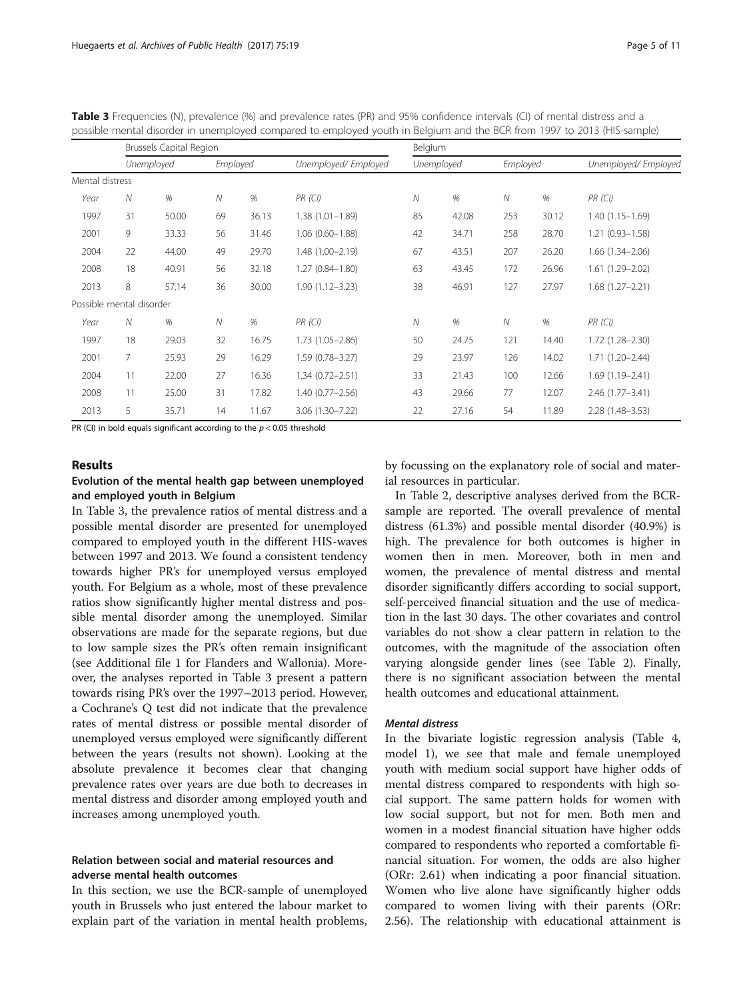|                |                 |                                        |                         | Unemployed/ Employed |              |       |                       |       | Unemployed/ Employed                                                                                                                |
|----------------|-----------------|----------------------------------------|-------------------------|----------------------|--------------|-------|-----------------------|-------|-------------------------------------------------------------------------------------------------------------------------------------|
|                |                 |                                        |                         |                      |              |       |                       |       |                                                                                                                                     |
| N              | %               | $\mathcal N$                           | %                       | PR(G)                | $\mathcal N$ | %     | $\mathcal N$          | %     | PR(G)                                                                                                                               |
| 31             | 50.00           | 69                                     | 36.13                   | $1.38(1.01 - 1.89)$  | 85           | 42.08 | 253                   | 30.12 | $1.40(1.15 - 1.69)$                                                                                                                 |
| 9              | 33.33           | 56                                     | 31.46                   | $1.06(0.60 - 1.88)$  | 42           | 34.71 | 258                   | 28.70 | $1.21(0.93 - 1.58)$                                                                                                                 |
| 22             | 44.00           | 49                                     | 29.70                   | 1.48 (1.00-2.19)     | 67           | 43.51 | 207                   | 26.20 | $1.66(1.34 - 2.06)$                                                                                                                 |
| 18             | 40.91           | 56                                     | 32.18                   | $1.27(0.84 - 1.80)$  | 63           | 43.45 | 172                   | 26.96 | 1.61 (1.29-2.02)                                                                                                                    |
| 8              | 57.14           | 36                                     | 30.00                   | $1.90(1.12 - 3.23)$  | 38           | 46.91 | 127                   | 27.97 | $1.68(1.27 - 2.21)$                                                                                                                 |
|                |                 |                                        |                         |                      |              |       |                       |       |                                                                                                                                     |
| $\mathcal N$   | %               | $\mathcal N$                           | %                       | PR(CI)               | $\mathcal N$ | %     | $\mathcal N$          | %     | PR(CI)                                                                                                                              |
| 18             | 29.03           | 32                                     | 16.75                   | 1.73 (1.05-2.86)     | 50           | 24.75 | 121                   | 14.40 | $1.72(1.28 - 2.30)$                                                                                                                 |
| $\overline{7}$ | 25.93           | 29                                     | 16.29                   | 1.59 (0.78-3.27)     | 29           | 23.97 | 126                   | 14.02 | $1.71(1.20 - 2.44)$                                                                                                                 |
| 11             | 22.00           | 27                                     | 16.36                   | $1.34(0.72 - 2.51)$  | 33           | 21.43 | 100                   | 12.66 | $1.69(1.19 - 2.41)$                                                                                                                 |
|                | Mental distress | Unemployed<br>Possible mental disorder | Brussels Capital Region | Employed             |              |       | Belgium<br>Unemployed |       | possible mental disorder in unemployed compared to employed youth in Belgium and the BCR from 1997 to 2013 (HIS-sample)<br>Employed |

2008 11 25.00 31 17.82 1.40 (0.77–2.56) 43 29.66 77 12.07 2.46 (1.77–3.41) 2013 5 35.71 14 11.67 3.06 (1.30–7.22) 22 27.16 54 11.89 2.28 (1.48–3.53)

<span id="page-4-0"></span>Table 3 Frequencies (N), prevalence (%) and prevalence rates (PR) and 95% confidence intervals (CI) of mental distress and a possible mental disorder in unemployed compared to employed youth in Belgium and the BCR from 1997 to 2013 (HIS-sample)

PR (CI) in bold equals significant according to the  $p < 0.05$  threshold

## Results

## Evolution of the mental health gap between unemployed and employed youth in Belgium

In Table 3, the prevalence ratios of mental distress and a possible mental disorder are presented for unemployed compared to employed youth in the different HIS-waves between 1997 and 2013. We found a consistent tendency towards higher PR's for unemployed versus employed youth. For Belgium as a whole, most of these prevalence ratios show significantly higher mental distress and possible mental disorder among the unemployed. Similar observations are made for the separate regions, but due to low sample sizes the PR's often remain insignificant (see Additional file [1](#page-8-0) for Flanders and Wallonia). Moreover, the analyses reported in Table 3 present a pattern towards rising PR's over the 1997–2013 period. However, a Cochrane's Q test did not indicate that the prevalence rates of mental distress or possible mental disorder of unemployed versus employed were significantly different between the years (results not shown). Looking at the absolute prevalence it becomes clear that changing prevalence rates over years are due both to decreases in mental distress and disorder among employed youth and increases among unemployed youth.

## Relation between social and material resources and adverse mental health outcomes

In this section, we use the BCR-sample of unemployed youth in Brussels who just entered the labour market to explain part of the variation in mental health problems,

by focussing on the explanatory role of social and material resources in particular.

In Table [2,](#page-3-0) descriptive analyses derived from the BCRsample are reported. The overall prevalence of mental distress (61.3%) and possible mental disorder (40.9%) is high. The prevalence for both outcomes is higher in women then in men. Moreover, both in men and women, the prevalence of mental distress and mental disorder significantly differs according to social support, self-perceived financial situation and the use of medication in the last 30 days. The other covariates and control variables do not show a clear pattern in relation to the outcomes, with the magnitude of the association often varying alongside gender lines (see Table [2\)](#page-3-0). Finally, there is no significant association between the mental health outcomes and educational attainment.

## Mental distress

In the bivariate logistic regression analysis (Table [4](#page-5-0), model 1), we see that male and female unemployed youth with medium social support have higher odds of mental distress compared to respondents with high social support. The same pattern holds for women with low social support, but not for men. Both men and women in a modest financial situation have higher odds compared to respondents who reported a comfortable financial situation. For women, the odds are also higher (ORr: 2.61) when indicating a poor financial situation. Women who live alone have significantly higher odds compared to women living with their parents (ORr: 2.56). The relationship with educational attainment is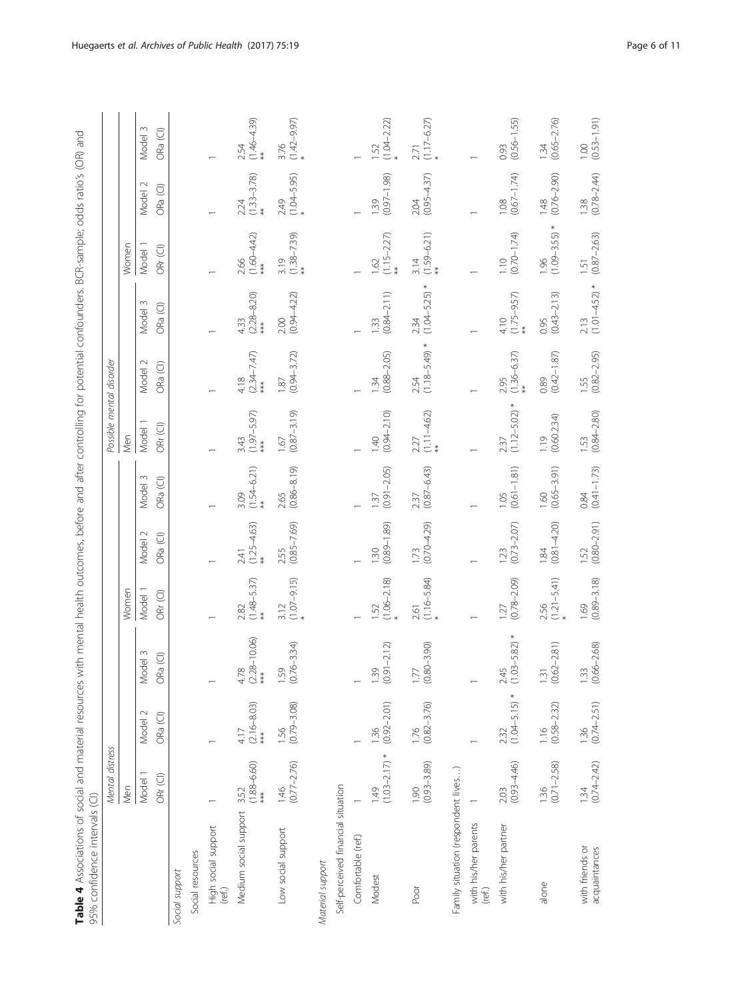<span id="page-5-0"></span>

| $\frac{1}{2}$<br>c + c + c<br>$\sim$<br>$\frac{1}{2}$<br>í<br>able 4 Associations of social and material res | ζ<br>$\overline{2}$<br>.<br>הי<br>-<br>2<br>2<br>ミソコンコンコンコン<br>th outcomes, before and after controlling for potential confounders. BCR-s |
|--------------------------------------------------------------------------------------------------------------|-------------------------------------------------------------------------------------------------------------------------------------------|
| J<br>Ū<br>ί,<br>who contidence in<br>j<br>ミリフミミ<br>) ) ) ) ) ) ) )                                           |                                                                                                                                           |
| CTracc<br>נ<br>נ<br>lental<br>í<br>į                                                                         | j                                                                                                                                         |

|                                     | Mental distress          |                              |                                  |                         |                         |                         | Possible mental disorder          |                           |                           |                                                       |                             |                         |
|-------------------------------------|--------------------------|------------------------------|----------------------------------|-------------------------|-------------------------|-------------------------|-----------------------------------|---------------------------|---------------------------|-------------------------------------------------------|-----------------------------|-------------------------|
|                                     | Men                      |                              |                                  | Women                   |                         |                         | Men                               |                           |                           | Women                                                 |                             |                         |
|                                     | Model                    | Model 2                      | Model 3                          | Model 1                 | Model 2                 | Model 3                 | Model                             | Model 2                   | S<br>Model:               | Model 1                                               | Model 2                     | Model 3                 |
|                                     | ORr(CI)                  | ORa (CI)                     | ORa (CI)                         | ORr(CI)                 | ORa (CI)                | ORa <sub>(CI)</sub>     | ORT (CI)                          | ORa (CI)                  | ORa (CI)                  | ORr(CI)                                               | ORa (CI)                    | ORa (CI)                |
| Social support                      |                          |                              |                                  |                         |                         |                         |                                   |                           |                           |                                                       |                             |                         |
| Social resources                    |                          |                              |                                  |                         |                         |                         |                                   |                           |                           |                                                       |                             |                         |
| High social support<br>(ref.)       |                          |                              |                                  |                         |                         |                         |                                   |                           |                           |                                                       |                             |                         |
| Medium social support 3.52          | $(1.88 - 6.60)$<br>$***$ | $(2.16 - 8.03)$<br>4.17      | $(2.28 - 10.06)$<br>4.78<br>$**$ | $(1.48 - 5.37)$<br>282  | $(1.25 - 4.63)$<br>2.41 | $(1.54 - 6.21)$<br>3.09 | $(1.97 - 5.97)$<br>3.43           | $(2.34 - 7.47)$<br>4.18   | $(2.28 - 8.20)$<br>433    | $2.66$<br>(1.60-4.42)<br>***                          | $2.24$<br>(1.33–3.78)<br>** | $(1.46 - 4.39)$<br>2.54 |
| Low social support                  | $(0.77 - 2.76)$<br>146   | $(0.79 - 3.08)$<br>1.56      | $-3.34$<br>1.59<br>(0.76         | $(1.07 - 9.15)$<br>3.12 | $(0.85 - 7.69)$<br>2.55 | $(0.86 - 8.19)$<br>2.65 | $(0.87 - 3.19)$<br>1.67           | $(0.94 - 3.72)$<br>1.87   | $(0.94 - 4.22)$<br>2.00   | $(1.38 - 7.39)$<br>3.19                               | $(1.04 - 5.95)$<br>2.49     | $(1.42 - 9.97)$<br>3.76 |
| Material support                    |                          |                              |                                  |                         |                         |                         |                                   |                           |                           |                                                       |                             |                         |
| Self-perceived financial situation  |                          |                              |                                  |                         |                         |                         |                                   |                           |                           |                                                       |                             |                         |
| Comfortable (ref.)                  |                          |                              |                                  |                         |                         |                         |                                   |                           |                           |                                                       |                             |                         |
| Modest                              | $(1.03 - 2.17)$ *<br>149 | $(0.92 - 2.01)$<br>1.36      | $-2.12$<br>1.39<br>$(0.91 -$     | $(1.06 - 2.18)$<br>1.52 | $(0.89 - 1.89)$<br>1.30 | $(0.91 - 2.05)$<br>1.37 | $(0.94 - 2.10)$<br>$\frac{40}{5}$ | $(0.88 - 2.05)$<br>1.34   | $(0.84 - 2.11)$<br>1.33   | $(1.15 - 2.27)$<br>1.62                               | $(0.97 - 1.98)$<br>139      | $(1.04 - 2.22)$<br>1.52 |
| Poor                                | $(0.93 - 3.89)$<br>061   | $\frac{1.76}{(0.82 - 3.76)}$ | $-3.90$<br>$\frac{1.77}{0.80}$   | $(1.16 - 5.84)$<br>2.61 | $(0.70 - 4.29)$<br>1.73 | $(0.87 - 6.43)$<br>2.37 | $(1.11 - 4.62)$<br>**<br>2.27     | $(1.18 - 5.49)$ *<br>2.54 | $(1.04 - 5.25)$<br>234    | $(1.59 - 6.21)$<br>3.14<br>$\ddot{\ddot{\phantom{}}}$ | $(0.95 - 4.37)$<br>2.04     | $(1.17 - 6.27)$<br>2.71 |
| Family situation (respondent lives) |                          |                              |                                  |                         |                         |                         |                                   |                           |                           |                                                       |                             |                         |
| with his/her parents<br>(ref.)      |                          |                              |                                  |                         |                         |                         |                                   |                           |                           |                                                       |                             |                         |
| with his/her partner                | $(0.93 - 4.46)$<br>2.03  | $(1.04 - 5.15)$ *<br>232     | 5.82)<br>2.45<br>$(1.03 -$       | $(0.78 - 2.09)$<br>127  | $(0.73 - 2.07)$<br>1.23 | $(0.61 - 1.81)$<br>1.05 | $\ast$<br>$(1.12 - 5.02)$<br>2.37 | $(1.36 - 6.37)$<br>2.95   | $(1.75 - 9.57)$<br>4.10   | $(0.70 - 1.74)$<br>1.10                               | $(0.67 - 1.74)$<br>1.08     | $(0.56 - 1.55)$<br>0.93 |
| alone                               | $(0.71 - 2.58)$<br>1.36  | $(0.58 - 2.32)$<br>1.16      | $-2.81$<br>131<br>(0.62)         | $(1.21 - 5.41)$<br>2.56 | $(0.81 - 4.20)$<br>1.84 | $(0.65 - 3.91)$<br>1.60 | (0.60.2.34)<br>1.19               | $(0.42 - 1.87)$<br>0.89   | $(0.43 - 2.13)$<br>0.95   | $(1.09 - 3.55)$ *<br>1.96                             | $(0.76 - 2.90)$<br>1.48     | $(0.65 - 2.76)$<br>1.34 |
| with friends or<br>acquaintances    | $(0.74 - 2.42)$<br>1.34  | $1.36$<br>(0.74-2.51)        | $(0.66 - 2.68)$<br>1.33          | $(0.89 - 3.18)$<br>1.69 | $(0.80 - 2.91)$<br>1.52 | $(0.41 - 1.73)$<br>0.84 | $1.53$<br>$(0.84 - 2.80)$         | $(0.82 - 2.95)$<br>1.55   | $(1.01 - 4.52)$ *<br>2.13 | $1.51$<br>(0.87-2.63)                                 | $1.38$<br>(0.78–2.44)       | $(0.53 - 1.91)$<br>1.00 |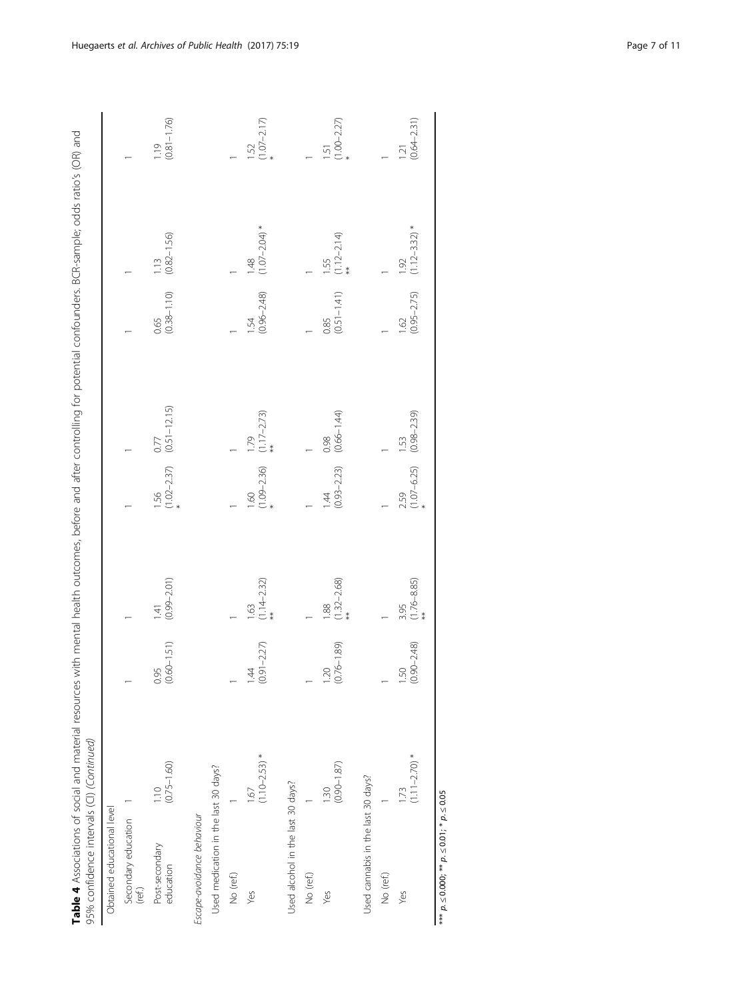| 2<br><b>SSS -</b><br>5<br>res with mental health outcomes betore and atter controlling tor potential confidence RCR sample, odde rotio's (OR).<br>i Min 2002 - 2012 - 2013<br>j |                                                                       |
|---------------------------------------------------------------------------------------------------------------------------------------------------------------------------------|-----------------------------------------------------------------------|
| j<br>ミリリンク<br>ころ ひころ リンジン・ソン・ソン                                                                                                                                                 |                                                                       |
| j<br>;<br>)<br>;<br>)<br>)<br> <br> <br>)<br>)<br>)<br>Ś<br>$\frac{1}{4}$<br>j                                                                                                  |                                                                       |
| l<br>Ì<br>١<br>j<br>j<br>١<br>i<br>١<br>ļ<br>I<br>i<br>I<br>i                                                                                                                   | Ś<br>J<br>١<br>١<br>J<br>֠<br>ļ<br>ごこ リソニソフニ<br>ļ<br>I<br>)<br>J<br>l |

| 95% confidence intervals (CI) (Continued) | Table 4 Associations of social and material resources |                           |                                  |                                  | with mental health outcomes, before and after controlling for potential confounders. BCR-sample; odds ratio's (OR) and |                         |                                      |                                    |
|-------------------------------------------|-------------------------------------------------------|---------------------------|----------------------------------|----------------------------------|------------------------------------------------------------------------------------------------------------------------|-------------------------|--------------------------------------|------------------------------------|
| Obtained educational level                |                                                       |                           |                                  |                                  |                                                                                                                        |                         |                                      |                                    |
| Secondary education<br>(ref.)             |                                                       |                           |                                  |                                  |                                                                                                                        |                         |                                      |                                    |
| Post-secondary<br>education               | $(0.75 - 1.60)$<br>$\frac{1}{1}$                      | $(0.60 - 1.51)$<br>0.95   | $(0.99 - 2.01)$<br>$\frac{4}{1}$ | $(1.02 - 2.37)$<br>1.56          | $(0.51 - 12.15)$<br>0.77                                                                                               | $(0.38 - 1.10)$<br>0.65 | $(0.82 - 1.56)$<br>$\frac{13}{2}$    | $(0.81 - 1.76)$<br>$\frac{10}{11}$ |
| Escape-avoidance behaviour                |                                                       |                           |                                  |                                  |                                                                                                                        |                         |                                      |                                    |
| Used medication in the last 30 days?      |                                                       |                           |                                  |                                  |                                                                                                                        |                         |                                      |                                    |
| No (ref.)                                 |                                                       |                           |                                  |                                  |                                                                                                                        |                         |                                      |                                    |
| Yes                                       | $(1.10 - 2.53)$ *<br>1.67                             | $1,44$<br>(0.91-2.27)     | 1.63<br>(1.14–2.32)<br>**        | $(1.09 - 2.36)$<br>1.60          | $\frac{1.79}{(1.17-2.73)}$                                                                                             | $(0.96 - 2.48)$<br>1.54 | $(1.07 - 2.04)$ *<br>1.48            | $(1.07 - 2.17)$<br>1.52            |
| Used alcohol in the last 30 days?         |                                                       |                           |                                  |                                  |                                                                                                                        |                         |                                      |                                    |
| No (ref.)                                 |                                                       |                           |                                  |                                  |                                                                                                                        |                         |                                      |                                    |
| Yes                                       | $(0.90 - 1.87)$<br>1.30                               | $(0.76 - 1.89)$<br>1.20   | $(1.32 - 2.68)$<br>188           | $(0.93 - 2.23)$<br>$\frac{4}{4}$ | $(0.66 - 1.44)$<br>0.98                                                                                                | $(0.51 - 1.41)$<br>0.85 | $(1.12 - 2.14)$<br>1.55              | $(1.00 - 2.27)$<br>1.51            |
| Used cannabis in the last 30 days?        |                                                       |                           |                                  |                                  |                                                                                                                        |                         |                                      |                                    |
| No (ref.)                                 |                                                       |                           |                                  |                                  |                                                                                                                        |                         |                                      |                                    |
| Yes                                       | $(1.11 - 2.70)$ *<br>1.73                             | $1.50$<br>$(0.90 - 2.48)$ | 3.95<br>(1.76–8.85)<br>**        | $(1.07 - 6.25)$<br>2.59          | $(0.98 - 2.39)$<br>1.53                                                                                                | $(0.95 - 2.75)$<br>1.62 | $(1.12 - 3.32)$ *<br>$\overline{61}$ | $(0.64 - 2.31)$<br>$\overline{21}$ |
|                                           |                                                       |                           |                                  |                                  |                                                                                                                        |                         |                                      |                                    |

\*\*\*  $p \le 0.000$ ; \*\*  $p \le 0.01$ ; \*  $p \le 0.05$  $*$  p.  $\leq$  0.000;  $*$  p.  $\leq$  0.01;  $*$  p.  $\leq$  0.05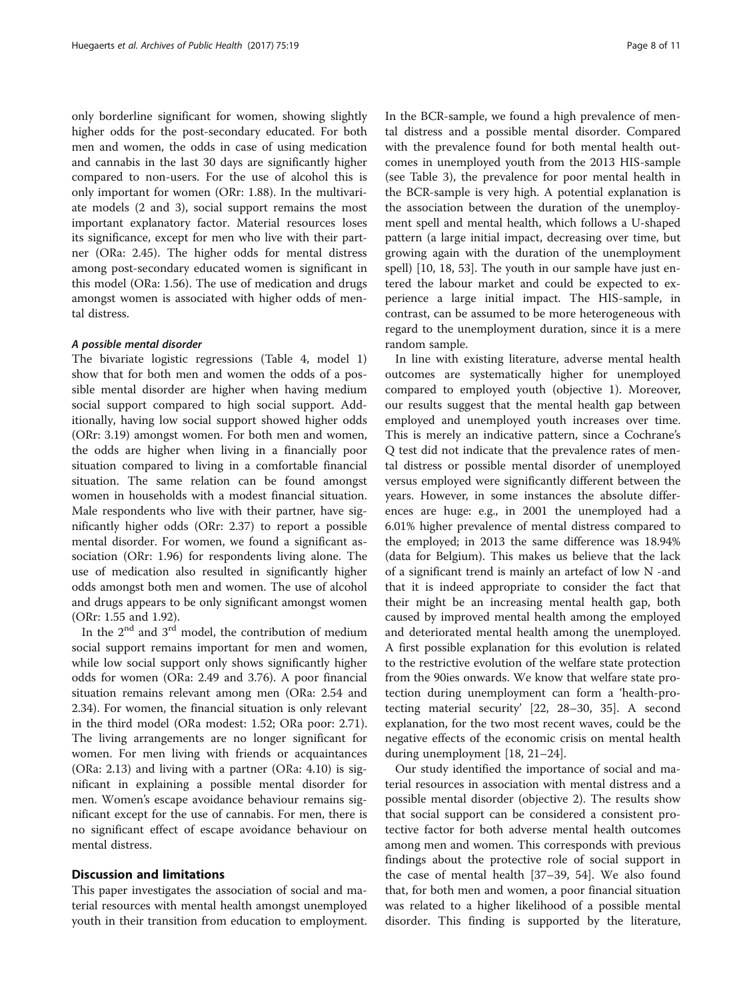only borderline significant for women, showing slightly higher odds for the post-secondary educated. For both men and women, the odds in case of using medication and cannabis in the last 30 days are significantly higher compared to non-users. For the use of alcohol this is only important for women (ORr: 1.88). In the multivariate models (2 and 3), social support remains the most important explanatory factor. Material resources loses its significance, except for men who live with their partner (ORa: 2.45). The higher odds for mental distress among post-secondary educated women is significant in this model (ORa: 1.56). The use of medication and drugs amongst women is associated with higher odds of mental distress.

## A possible mental disorder

The bivariate logistic regressions (Table [4,](#page-5-0) model 1) show that for both men and women the odds of a possible mental disorder are higher when having medium social support compared to high social support. Additionally, having low social support showed higher odds (ORr: 3.19) amongst women. For both men and women, the odds are higher when living in a financially poor situation compared to living in a comfortable financial situation. The same relation can be found amongst women in households with a modest financial situation. Male respondents who live with their partner, have significantly higher odds (ORr: 2.37) to report a possible mental disorder. For women, we found a significant association (ORr: 1.96) for respondents living alone. The use of medication also resulted in significantly higher odds amongst both men and women. The use of alcohol and drugs appears to be only significant amongst women (ORr: 1.55 and 1.92).

In the  $2<sup>nd</sup>$  and  $3<sup>rd</sup>$  model, the contribution of medium social support remains important for men and women, while low social support only shows significantly higher odds for women (ORa: 2.49 and 3.76). A poor financial situation remains relevant among men (ORa: 2.54 and 2.34). For women, the financial situation is only relevant in the third model (ORa modest: 1.52; ORa poor: 2.71). The living arrangements are no longer significant for women. For men living with friends or acquaintances (ORa: 2.13) and living with a partner (ORa: 4.10) is significant in explaining a possible mental disorder for men. Women's escape avoidance behaviour remains significant except for the use of cannabis. For men, there is no significant effect of escape avoidance behaviour on mental distress.

## Discussion and limitations

This paper investigates the association of social and material resources with mental health amongst unemployed youth in their transition from education to employment. In the BCR-sample, we found a high prevalence of mental distress and a possible mental disorder. Compared with the prevalence found for both mental health outcomes in unemployed youth from the 2013 HIS-sample (see Table [3](#page-4-0)), the prevalence for poor mental health in the BCR-sample is very high. A potential explanation is the association between the duration of the unemployment spell and mental health, which follows a U-shaped pattern (a large initial impact, decreasing over time, but growing again with the duration of the unemployment spell) [[10](#page-9-0), [18](#page-9-0), [53](#page-10-0)]. The youth in our sample have just entered the labour market and could be expected to experience a large initial impact. The HIS-sample, in contrast, can be assumed to be more heterogeneous with regard to the unemployment duration, since it is a mere random sample.

In line with existing literature, adverse mental health outcomes are systematically higher for unemployed compared to employed youth (objective 1). Moreover, our results suggest that the mental health gap between employed and unemployed youth increases over time. This is merely an indicative pattern, since a Cochrane's Q test did not indicate that the prevalence rates of mental distress or possible mental disorder of unemployed versus employed were significantly different between the years. However, in some instances the absolute differences are huge: e.g., in 2001 the unemployed had a 6.01% higher prevalence of mental distress compared to the employed; in 2013 the same difference was 18.94% (data for Belgium). This makes us believe that the lack of a significant trend is mainly an artefact of low N -and that it is indeed appropriate to consider the fact that their might be an increasing mental health gap, both caused by improved mental health among the employed and deteriorated mental health among the unemployed. A first possible explanation for this evolution is related to the restrictive evolution of the welfare state protection from the 90ies onwards. We know that welfare state protection during unemployment can form a 'health-protecting material security' [\[22](#page-9-0), [28](#page-9-0)–[30](#page-9-0), [35\]](#page-9-0). A second explanation, for the two most recent waves, could be the negative effects of the economic crisis on mental health during unemployment [\[18](#page-9-0), [21](#page-9-0)–[24\]](#page-9-0).

Our study identified the importance of social and material resources in association with mental distress and a possible mental disorder (objective 2). The results show that social support can be considered a consistent protective factor for both adverse mental health outcomes among men and women. This corresponds with previous findings about the protective role of social support in the case of mental health [[37](#page-9-0)–[39](#page-10-0), [54\]](#page-10-0). We also found that, for both men and women, a poor financial situation was related to a higher likelihood of a possible mental disorder. This finding is supported by the literature,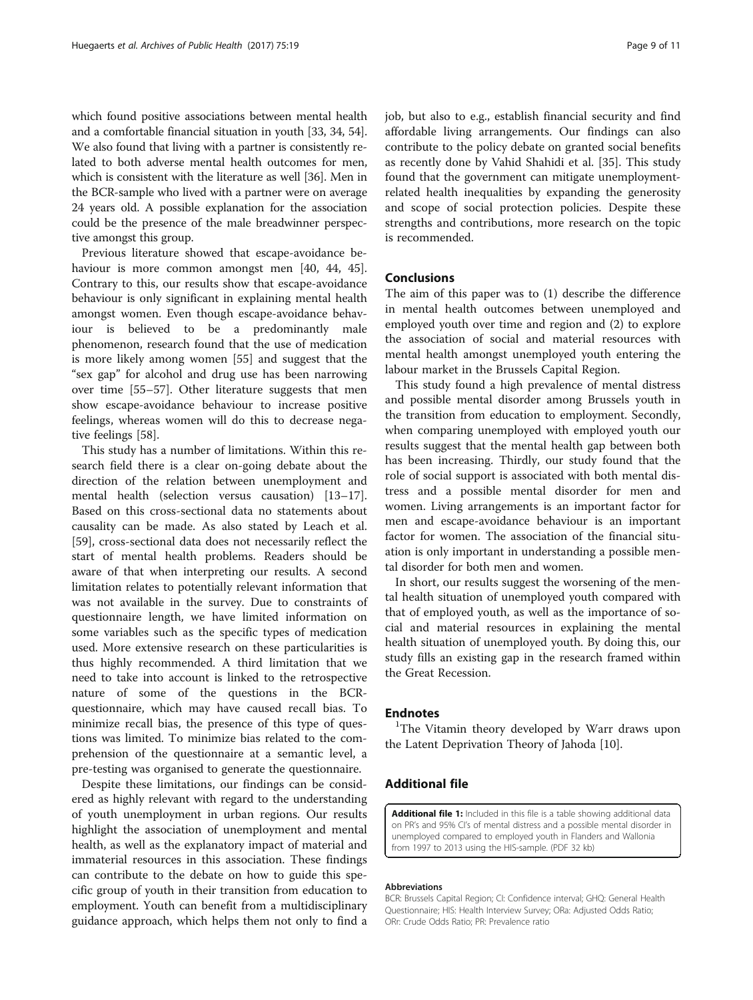<span id="page-8-0"></span>which found positive associations between mental health and a comfortable financial situation in youth [\[33](#page-9-0), [34,](#page-9-0) [54](#page-10-0)]. We also found that living with a partner is consistently related to both adverse mental health outcomes for men, which is consistent with the literature as well [[36](#page-9-0)]. Men in the BCR-sample who lived with a partner were on average 24 years old. A possible explanation for the association could be the presence of the male breadwinner perspective amongst this group.

Previous literature showed that escape-avoidance be-haviour is more common amongst men [\[40](#page-10-0), [44, 45](#page-10-0)]. Contrary to this, our results show that escape-avoidance behaviour is only significant in explaining mental health amongst women. Even though escape-avoidance behaviour is believed to be a predominantly male phenomenon, research found that the use of medication is more likely among women [\[55](#page-10-0)] and suggest that the "sex gap" for alcohol and drug use has been narrowing over time [[55](#page-10-0)–[57](#page-10-0)]. Other literature suggests that men show escape-avoidance behaviour to increase positive feelings, whereas women will do this to decrease negative feelings [\[58\]](#page-10-0).

This study has a number of limitations. Within this research field there is a clear on-going debate about the direction of the relation between unemployment and mental health (selection versus causation) [[13](#page-9-0)–[17](#page-9-0)]. Based on this cross-sectional data no statements about causality can be made. As also stated by Leach et al. [[59\]](#page-10-0), cross-sectional data does not necessarily reflect the start of mental health problems. Readers should be aware of that when interpreting our results. A second limitation relates to potentially relevant information that was not available in the survey. Due to constraints of questionnaire length, we have limited information on some variables such as the specific types of medication used. More extensive research on these particularities is thus highly recommended. A third limitation that we need to take into account is linked to the retrospective nature of some of the questions in the BCRquestionnaire, which may have caused recall bias. To minimize recall bias, the presence of this type of questions was limited. To minimize bias related to the comprehension of the questionnaire at a semantic level, a pre-testing was organised to generate the questionnaire.

Despite these limitations, our findings can be considered as highly relevant with regard to the understanding of youth unemployment in urban regions. Our results highlight the association of unemployment and mental health, as well as the explanatory impact of material and immaterial resources in this association. These findings can contribute to the debate on how to guide this specific group of youth in their transition from education to employment. Youth can benefit from a multidisciplinary guidance approach, which helps them not only to find a job, but also to e.g., establish financial security and find affordable living arrangements. Our findings can also contribute to the policy debate on granted social benefits as recently done by Vahid Shahidi et al. [[35](#page-9-0)]. This study found that the government can mitigate unemploymentrelated health inequalities by expanding the generosity and scope of social protection policies. Despite these strengths and contributions, more research on the topic is recommended.

## Conclusions

The aim of this paper was to (1) describe the difference in mental health outcomes between unemployed and employed youth over time and region and (2) to explore the association of social and material resources with mental health amongst unemployed youth entering the labour market in the Brussels Capital Region.

This study found a high prevalence of mental distress and possible mental disorder among Brussels youth in the transition from education to employment. Secondly, when comparing unemployed with employed youth our results suggest that the mental health gap between both has been increasing. Thirdly, our study found that the role of social support is associated with both mental distress and a possible mental disorder for men and women. Living arrangements is an important factor for men and escape-avoidance behaviour is an important factor for women. The association of the financial situation is only important in understanding a possible mental disorder for both men and women.

In short, our results suggest the worsening of the mental health situation of unemployed youth compared with that of employed youth, as well as the importance of social and material resources in explaining the mental health situation of unemployed youth. By doing this, our study fills an existing gap in the research framed within the Great Recession.

## **Endnotes**

<sup>1</sup>The Vitamin theory developed by Warr draws upon the Latent Deprivation Theory of Jahoda [[10](#page-9-0)].

## Additional file

[Additional file 1:](dx.doi.org/10.1186/s13690-017-0187-7) Included in this file is a table showing additional data on PR's and 95% CI's of mental distress and a possible mental disorder in unemployed compared to employed youth in Flanders and Wallonia from 1997 to 2013 using the HIS-sample. (PDF 32 kb)

#### Abbreviations

BCR: Brussels Capital Region; CI: Confidence interval; GHQ: General Health Questionnaire; HIS: Health Interview Survey; ORa: Adjusted Odds Ratio; ORr: Crude Odds Ratio; PR: Prevalence ratio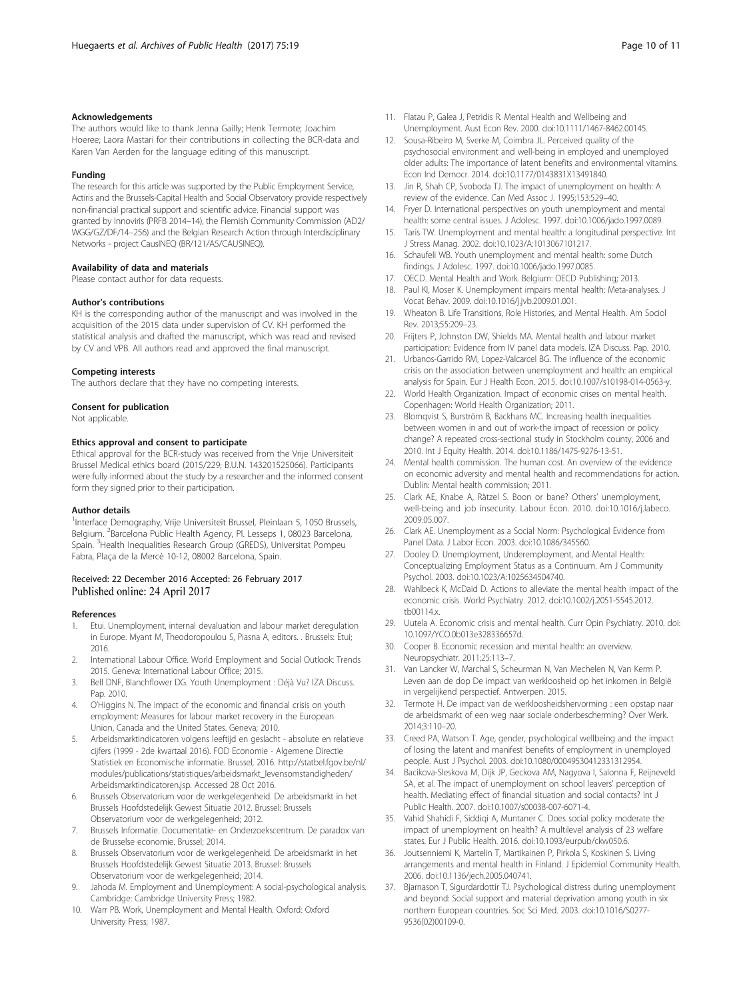#### <span id="page-9-0"></span>Acknowledgements

The authors would like to thank Jenna Gailly; Henk Termote; Joachim Hoeree; Laora Mastari for their contributions in collecting the BCR-data and Karen Van Aerden for the language editing of this manuscript.

#### Funding

The research for this article was supported by the Public Employment Service, Actiris and the Brussels-Capital Health and Social Observatory provide respectively non-financial practical support and scientific advice. Financial support was granted by Innoviris (PRFB 2014–14), the Flemish Community Commission (AD2/ WGG/GZ/DF/14–256) and the Belgian Research Action through Interdisciplinary Networks - project CausINEQ (BR/121/A5/CAUSINEQ).

#### Availability of data and materials

Please contact author for data requests.

#### Author's contributions

KH is the corresponding author of the manuscript and was involved in the acquisition of the 2015 data under supervision of CV. KH performed the statistical analysis and drafted the manuscript, which was read and revised by CV and VPB. All authors read and approved the final manuscript.

#### Competing interests

The authors declare that they have no competing interests.

#### Consent for publication

Not applicable.

#### Ethics approval and consent to participate

Ethical approval for the BCR-study was received from the Vrije Universiteit Brussel Medical ethics board (2015/229; B.U.N. 143201525066). Participants were fully informed about the study by a researcher and the informed consent form they signed prior to their participation.

#### Author details

<sup>1</sup>Interface Demography, Vrije Universiteit Brussel, Pleinlaan 5, 1050 Brussels, Belgium. <sup>2</sup>Barcelona Public Health Agency, Pl. Lesseps 1, 08023 Barcelona, Spain. <sup>3</sup>Health Inequalities Research Group (GREDS), Universitat Pompeu Fabra, Plaça de la Mercè 10-12, 08002 Barcelona, Spain.

#### Received: 22 December 2016 Accepted: 26 February 2017 Published online: 24 April 2017

#### References

- 1. Etui. Unemployment, internal devaluation and labour market deregulation in Europe. Myant M, Theodoropoulou S, Piasna A, editors. . Brussels: Etui; 2016.
- 2. International Labour Office. World Employment and Social Outlook: Trends 2015. Geneva: International Labour Office; 2015.
- 3. Bell DNF, Blanchflower DG. Youth Unemployment : Déjà Vu? IZA Discuss. Pap. 2010.
- 4. O'Higgins N. The impact of the economic and financial crisis on youth employment: Measures for labour market recovery in the European Union, Canada and the United States. Geneva; 2010.
- 5. Arbeidsmarktindicatoren volgens leeftijd en geslacht absolute en relatieve cijfers (1999 - 2de kwartaal 2016). FOD Economie - Algemene Directie Statistiek en Economische informatie. Brussel, 2016. [http://statbel.fgov.be/nl/](http://statbel.fgov.be/nl/modules/publications/statistiques/arbeidsmarkt_levensomstandigheden/Arbeidsmarktindicatoren.jsp) [modules/publications/statistiques/arbeidsmarkt\\_levensomstandigheden/](http://statbel.fgov.be/nl/modules/publications/statistiques/arbeidsmarkt_levensomstandigheden/Arbeidsmarktindicatoren.jsp) [Arbeidsmarktindicatoren.jsp.](http://statbel.fgov.be/nl/modules/publications/statistiques/arbeidsmarkt_levensomstandigheden/Arbeidsmarktindicatoren.jsp) Accessed 28 Oct 2016.
- 6. Brussels Observatorium voor de werkgelegenheid. De arbeidsmarkt in het Brussels Hoofdstedelijk Gewest Situatie 2012. Brussel: Brussels Observatorium voor de werkgelegenheid; 2012.
- 7. Brussels Informatie. Documentatie- en Onderzoekscentrum. De paradox van de Brusselse economie. Brussel; 2014.
- 8. Brussels Observatorium voor de werkgelegenheid. De arbeidsmarkt in het Brussels Hoofdstedelijk Gewest Situatie 2013. Brussel: Brussels Observatorium voor de werkgelegenheid; 2014.
- Jahoda M. Employment and Unemployment: A social-psychological analysis. Cambridge: Cambridge University Press; 1982.
- 10. Warr PB. Work, Unemployment and Mental Health. Oxford: Oxford University Press; 1987.
- 11. Flatau P, Galea J, Petridis R. Mental Health and Wellbeing and Unemployment. Aust Econ Rev. 2000. doi[:10.1111/1467-8462.00145](http://dx.doi.org/10.1111/1467-8462.00145).
- 12. Sousa-Ribeiro M, Sverke M, Coimbra JL, Perceived quality of the psychosocial environment and well-being in employed and unemployed older adults: The importance of latent benefits and environmental vitamins. Econ Ind Democr. 2014. doi[:10.1177/0143831X13491840.](http://dx.doi.org/10.1177/0143831X13491840)
- 13. Jin R, Shah CP, Svoboda TJ. The impact of unemployment on health: A review of the evidence. Can Med Assoc J. 1995;153:529–40.
- 14. Fryer D. International perspectives on youth unemployment and mental health: some central issues. J Adolesc. 1997. doi[:10.1006/jado.1997.0089](http://dx.doi.org/10.1006/jado.1997.0089).
- 15. Taris TW. Unemployment and mental health: a longitudinal perspective. Int J Stress Manag. 2002. doi:[10.1023/A:1013067101217](http://dx.doi.org/10.1023/A:1013067101217).
- 16. Schaufeli WB. Youth unemployment and mental health: some Dutch findings. J Adolesc. 1997. doi[:10.1006/jado.1997.0085](http://dx.doi.org/10.1006/jado.1997.0085).
- 17. OECD. Mental Health and Work. Belgium: OECD Publishing; 2013.
- 18. Paul KI, Moser K. Unemployment impairs mental health: Meta-analyses. J Vocat Behav. 2009. doi[:10.1016/j.jvb.2009.01.001.](http://dx.doi.org/10.1016/j.jvb.2009.01.001)
- 19. Wheaton B. Life Transitions, Role Histories, and Mental Health. Am Sociol Rev. 2013;55:209–23.
- 20. Frijters P, Johnston DW, Shields MA. Mental health and labour market participation: Evidence from IV panel data models. IZA Discuss. Pap. 2010.
- 21. Urbanos-Garrido RM, Lopez-Valcarcel BG. The influence of the economic crisis on the association between unemployment and health: an empirical analysis for Spain. Eur J Health Econ. 2015. doi[:10.1007/s10198-014-0563-y.](http://dx.doi.org/10.1007/s10198-014-0563-y)
- 22. World Health Organization. Impact of economic crises on mental health. Copenhagen: World Health Organization; 2011.
- 23. Blomqvist S, Burström B, Backhans MC. Increasing health inequalities between women in and out of work-the impact of recession or policy change? A repeated cross-sectional study in Stockholm county, 2006 and 2010. Int J Equity Health. 2014. doi:[10.1186/1475-9276-13-51.](http://dx.doi.org/10.1186/1475-9276-13-51)
- 24. Mental health commission. The human cost. An overview of the evidence on economic adversity and mental health and recommendations for action. Dublin: Mental health commission; 2011.
- 25. Clark AE, Knabe A, Rätzel S. Boon or bane? Others' unemployment, well-being and job insecurity. Labour Econ. 2010. doi:[10.1016/j.labeco.](http://dx.doi.org/10.1016/j.labeco.2009.05.007) [2009.05.007.](http://dx.doi.org/10.1016/j.labeco.2009.05.007)
- 26. Clark AE. Unemployment as a Social Norm: Psychological Evidence from Panel Data. J Labor Econ. 2003. doi[:10.1086/345560.](http://dx.doi.org/10.1086/345560)
- 27. Dooley D. Unemployment, Underemployment, and Mental Health: Conceptualizing Employment Status as a Continuum. Am J Community Psychol. 2003. doi:[10.1023/A:1025634504740.](http://dx.doi.org/10.1023/A:1025634504740)
- 28. Wahlbeck K, McDaid D. Actions to alleviate the mental health impact of the economic crisis. World Psychiatry. 2012. doi:[10.1002/j.2051-5545.2012.](http://dx.doi.org/10.1002/j.2051-5545.2012.tb00114.x) tb00114x
- 29. Uutela A. Economic crisis and mental health. Curr Opin Psychiatry. 2010. doi: [10.1097/YCO.0b013e328336657d.](http://dx.doi.org/10.1097/YCO.0b013e328336657d)
- 30. Cooper B. Economic recession and mental health: an overview. Neuropsychiatr. 2011;25:113–7.
- 31. Van Lancker W, Marchal S, Scheurman N, Van Mechelen N, Van Kerm P. Leven aan de dop De impact van werkloosheid op het inkomen in België in vergelijkend perspectief. Antwerpen. 2015.
- 32. Termote H. De impact van de werkloosheidshervorming : een opstap naar de arbeidsmarkt of een weg naar sociale onderbescherming? Over Werk. 2014;3:110–20.
- 33. Creed PA, Watson T. Age, gender, psychological wellbeing and the impact of losing the latent and manifest benefits of employment in unemployed people. Aust J Psychol. 2003. doi[:10.1080/00049530412331312954.](http://dx.doi.org/10.1080/00049530412331312954)
- 34. Bacikova-Sleskova M, Dijk JP, Geckova AM, Nagyova I, Salonna F, Reijneveld SA, et al. The impact of unemployment on school leavers' perception of health. Mediating effect of financial situation and social contacts? Int J Public Health. 2007. doi[:10.1007/s00038-007-6071-4](http://dx.doi.org/10.1007/s00038-007-6071-4).
- 35. Vahid Shahidi F, Siddiqi A, Muntaner C. Does social policy moderate the impact of unemployment on health? A multilevel analysis of 23 welfare states. Eur J Public Health. 2016. doi[:10.1093/eurpub/ckw050.6.](http://dx.doi.org/10.1093/eurpub/ckw050.6)
- 36. Joutsenniemi K, Martelin T, Martikainen P, Pirkola S, Koskinen S. Living arrangements and mental health in Finland. J Epidemiol Community Health. 2006. doi[:10.1136/jech.2005.040741](http://dx.doi.org/10.1136/jech.2005.040741).
- 37. Bjarnason T, Sigurdardottir TJ. Psychological distress during unemployment and beyond: Social support and material deprivation among youth in six northern European countries. Soc Sci Med. 2003. doi[:10.1016/S0277-](http://dx.doi.org/10.1016/S0277-9536(02)00109-0) [9536\(02\)00109-0](http://dx.doi.org/10.1016/S0277-9536(02)00109-0).